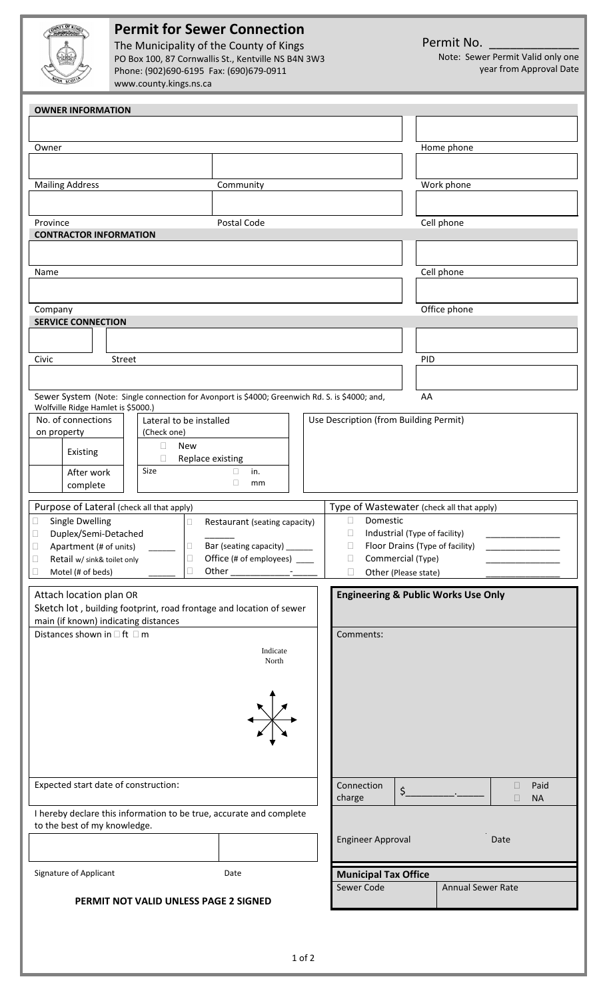| OUNTY OF KINGS                |  |
|-------------------------------|--|
|                               |  |
|                               |  |
| $\tilde{N}_{\rm Op}$<br>scot! |  |

## **Permit for Sewer Connection**

The Municipality of the County of Kings PO Box 100, 87 Cornwallis St., Kentville NS B4N 3W3 Phone: (902)690‐6195 Fax: (690)679‐0911 www.county.kings.ns.ca

Permit No.

Note: Sewer Permit Valid only one year from Approval Date

| <b>OWNER INFORMATION</b>                                                                                                                   |                                |                                                                          |                     |  |  |  |
|--------------------------------------------------------------------------------------------------------------------------------------------|--------------------------------|--------------------------------------------------------------------------|---------------------|--|--|--|
|                                                                                                                                            |                                |                                                                          |                     |  |  |  |
| Owner                                                                                                                                      |                                |                                                                          | Home phone          |  |  |  |
|                                                                                                                                            |                                |                                                                          |                     |  |  |  |
|                                                                                                                                            |                                |                                                                          |                     |  |  |  |
| <b>Mailing Address</b>                                                                                                                     | Community                      |                                                                          | Work phone          |  |  |  |
|                                                                                                                                            |                                |                                                                          |                     |  |  |  |
| Province                                                                                                                                   |                                | Cell phone                                                               |                     |  |  |  |
| <b>CONTRACTOR INFORMATION</b>                                                                                                              |                                |                                                                          |                     |  |  |  |
|                                                                                                                                            |                                |                                                                          |                     |  |  |  |
| Name                                                                                                                                       |                                | Cell phone                                                               |                     |  |  |  |
|                                                                                                                                            |                                |                                                                          |                     |  |  |  |
| Company                                                                                                                                    |                                | Office phone                                                             |                     |  |  |  |
| <b>SERVICE CONNECTION</b>                                                                                                                  |                                |                                                                          |                     |  |  |  |
|                                                                                                                                            |                                |                                                                          |                     |  |  |  |
| Civic<br>Street                                                                                                                            |                                |                                                                          | PID                 |  |  |  |
|                                                                                                                                            |                                |                                                                          |                     |  |  |  |
|                                                                                                                                            |                                |                                                                          |                     |  |  |  |
| Sewer System (Note: Single connection for Avonport is \$4000; Greenwich Rd. S. is \$4000; and,<br>AA<br>Wolfville Ridge Hamlet is \$5000.) |                                |                                                                          |                     |  |  |  |
| No. of connections<br>Lateral to be installed                                                                                              |                                | Use Description (from Building Permit)                                   |                     |  |  |  |
| (Check one)<br>on property                                                                                                                 |                                |                                                                          |                     |  |  |  |
| <b>New</b><br>$\Box$<br>Existing<br>Replace existing<br>□                                                                                  |                                |                                                                          |                     |  |  |  |
| Size<br>After work                                                                                                                         | $\Box$<br>in.                  |                                                                          |                     |  |  |  |
| complete                                                                                                                                   | $\Box$<br>mm                   |                                                                          |                     |  |  |  |
| Purpose of Lateral (check all that apply)                                                                                                  |                                | Type of Wastewater (check all that apply)                                |                     |  |  |  |
| <b>Single Dwelling</b><br>Restaurant (seating capacity)<br>$\Box$<br>$\Box$                                                                | Domestic<br>$\Box$             |                                                                          |                     |  |  |  |
| Duplex/Semi-Detached<br>$\Box$                                                                                                             | $\Box$                         | Industrial (Type of facility)                                            |                     |  |  |  |
| □ Bar (seating capacity) ______<br>Apartment (# of units)<br>$\Box$<br>Office (# of employees) ____<br>$\Box$                              |                                | $\Box$<br>Floor Drains (Type of facility)<br>Commercial (Type)<br>$\Box$ |                     |  |  |  |
| Retail w/ sink& toilet only<br>$\Box$<br>Other<br>$\Box$<br>Motel (# of beds)<br>□                                                         | $\Box$<br>Other (Please state) |                                                                          |                     |  |  |  |
|                                                                                                                                            |                                |                                                                          |                     |  |  |  |
| Attach location plan OR                                                                                                                    |                                | <b>Engineering &amp; Public Works Use Only</b>                           |                     |  |  |  |
| Sketch lot, building footprint, road frontage and location of sewer<br>main (if known) indicating distances                                |                                |                                                                          |                     |  |  |  |
| Distances shown in $\Box$ ft $\Box$ m                                                                                                      |                                | Comments:                                                                |                     |  |  |  |
| Indicate                                                                                                                                   |                                |                                                                          |                     |  |  |  |
| North                                                                                                                                      |                                |                                                                          |                     |  |  |  |
|                                                                                                                                            |                                |                                                                          |                     |  |  |  |
|                                                                                                                                            |                                |                                                                          |                     |  |  |  |
|                                                                                                                                            |                                |                                                                          |                     |  |  |  |
|                                                                                                                                            |                                |                                                                          |                     |  |  |  |
|                                                                                                                                            |                                |                                                                          |                     |  |  |  |
|                                                                                                                                            |                                |                                                                          |                     |  |  |  |
| Expected start date of construction:                                                                                                       | Connection                     | Paid<br>$\Box$                                                           |                     |  |  |  |
|                                                                                                                                            |                                | $\zeta$<br>charge                                                        | $\Box$<br><b>NA</b> |  |  |  |
| I hereby declare this information to be true, accurate and complete                                                                        |                                |                                                                          |                     |  |  |  |
| to the best of my knowledge.                                                                                                               |                                |                                                                          |                     |  |  |  |
|                                                                                                                                            |                                | <b>Engineer Approval</b>                                                 | Date                |  |  |  |
|                                                                                                                                            |                                |                                                                          |                     |  |  |  |
| Signature of Applicant                                                                                                                     | Date                           | <b>Municipal Tax Office</b>                                              |                     |  |  |  |
|                                                                                                                                            |                                | Sewer Code                                                               | Annual Sewer Rate   |  |  |  |
| PERMIT NOT VALID UNLESS PAGE 2 SIGNED                                                                                                      |                                |                                                                          |                     |  |  |  |
|                                                                                                                                            |                                |                                                                          |                     |  |  |  |
|                                                                                                                                            |                                |                                                                          |                     |  |  |  |